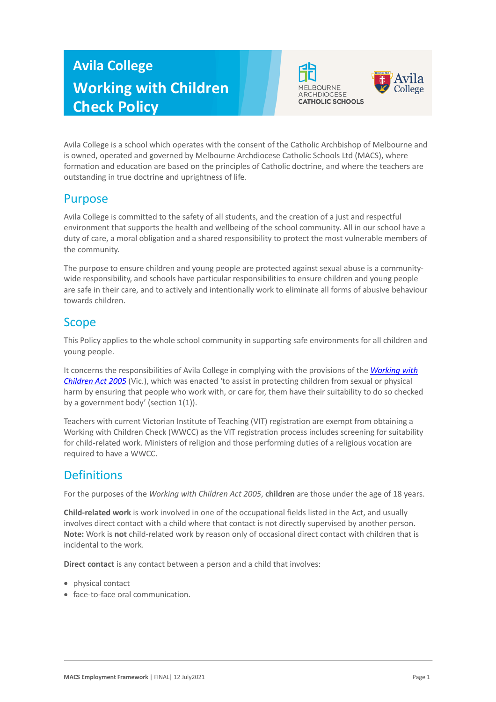# **Avila College Working with Children Check Policy**





Avila College is a school which operates with the consent of the Catholic Archbishop of Melbourne and is owned, operated and governed by Melbourne Archdiocese Catholic Schools Ltd (MACS), where formation and education are based on the principles of Catholic doctrine, and where the teachers are outstanding in true doctrine and uprightness of life.

#### Purpose

Avila College is committed to the safety of all students, and the creation of a just and respectful environment that supports the health and wellbeing of the school community. All in our school have a duty of care, a moral obligation and a shared responsibility to protect the most vulnerable members of the community.

The purpose to ensure children and young people are protected against sexual abuse is a communitywide responsibility, and schools have particular responsibilities to ensure children and young people are safe in their care, and to actively and intentionally work to eliminate all forms of abusive behaviour towards children.

## **Scope**

This Policy applies to the whole school community in supporting safe environments for all children and young people.

It concerns the responsibilities of Avila College in complying with the provisions of the *Working with Children Act 2005* (Vic.), which was enacted 'to assist in protecting children from sexual or physical harm by ensuring that people who work with, or care for, them have their suitability to do so checked by a government body' (section  $1(1)$ ).

Teachers with current Victorian Institute of Teaching (VIT) registration are exempt from obtaining a Working with Children Check (WWCC) as the VIT registration process includes screening for suitability for child-related work. Ministers of religion and those performing duties of a religious vocation are required to have a WWCC.

# **Definitions**

For the purposes of the *Working with Children Act 2005*, **children** are those under the age of 18 years.

**Child-related work** is work involved in one of the occupational fields listed in the Act, and usually involves direct contact with a child where that contact is not directly supervised by another person. **Note:** Work is **not** child-related work by reason only of occasional direct contact with children that is incidental to the work.

**Direct contact** is any contact between a person and a child that involves:

- physical contact
- face-to-face oral communication.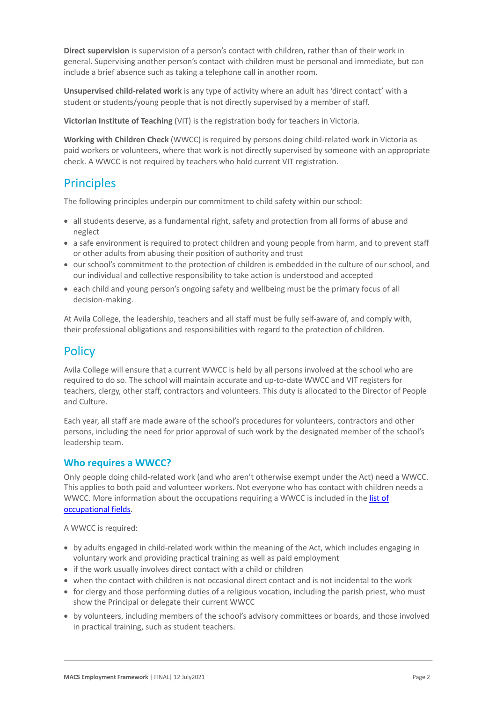**Direct supervision** is supervision of a person's contact with children, rather than of their work in general. Supervising another person's contact with children must be personal and immediate, but can include a brief absence such as taking a telephone call in another room.

**Unsupervised child-related work** is any type of activity where an adult has 'direct contact' with a student or students/young people that is not directly supervised by a member of staff.

**Victorian Institute of Teaching** (VIT) is the registration body for teachers in Victoria.

**Working with Children Check** (WWCC) is required by persons doing child-related work in Victoria as paid workers or volunteers, where that work is not directly supervised by someone with an appropriate check. A WWCC is not required by teachers who hold current VIT registration.

#### **Principles**

The following principles underpin our commitment to child safety within our school:

- all students deserve, as a fundamental right, safety and protection from all forms of abuse and neglect
- a safe environment is required to protect children and young people from harm, and to prevent staff or other adults from abusing their position of authority and trust
- our school's commitment to the protection of children is embedded in the culture of our school, and our individual and collective responsibility to take action is understood and accepted
- each child and young person's ongoing safety and wellbeing must be the primary focus of all decision-making.

At Avila College, the leadership, teachers and all staff must be fully self-aware of, and comply with, their professional obligations and responsibilities with regard to the protection of children.

#### **Policy**

Avila College will ensure that a current WWCC is held by all persons involved at the school who are required to do so. The school will maintain accurate and up-to-date WWCC and VIT registers for teachers, clergy, other staff, contractors and volunteers. This duty is allocated to the Director of People and Culture.

Each year, all staff are made aware of the school's procedures for volunteers, contractors and other persons, including the need for prior approval of such work by the designated member of the school's leadership team.

#### **Who requires a WWCC?**

Only people doing child-related work (and who aren't otherwise exempt under the Act) need a WWCC. This applies to both paid and volunteer workers. Not everyone who has contact with children needs a WWCC. More information about the occupations requiring a WWCC is included in the list of occupational fields.

A WWCC is required:

- by adults engaged in child-related work within the meaning of the Act, which includes engaging in voluntary work and providing practical training as well as paid employment
- if the work usually involves direct contact with a child or children
- when the contact with children is not occasional direct contact and is not incidental to the work
- for clergy and those performing duties of a religious vocation, including the parish priest, who must show the Principal or delegate their current WWCC
- by volunteers, including members of the school's advisory committees or boards, and those involved in practical training, such as student teachers.